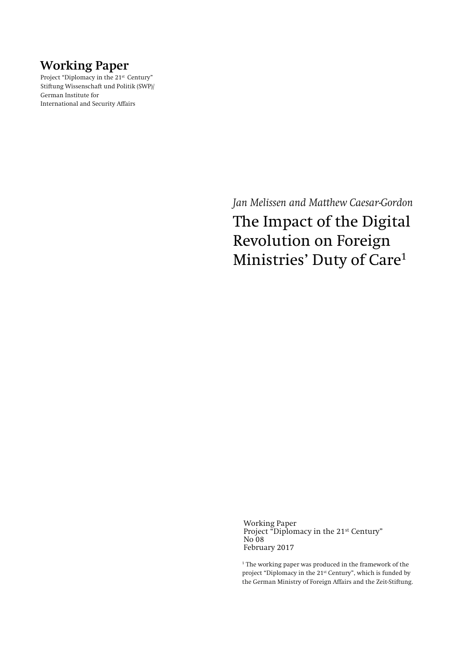## **Working Paper**

Project "Diplomacy in the 21<sup>st</sup> Century" Stiftung Wissenschaft und Politik (SWP)/ German Institute for International and Security Affairs

> *Jan Melissen and Matthew Caesar-Gordon* The Impact of the Digital Revolution on Foreign Ministries' Duty of Care<sup>1</sup>

Working Paper Project "Diplomacy in the 21<sup>st</sup> Century" No 08 February 2017

<sup>1</sup> The working paper was produced in the framework of the project "Diplomacy in the 21st Century", which is funded by the German Ministry of Foreign Affairs and the Zeit-Stiftung.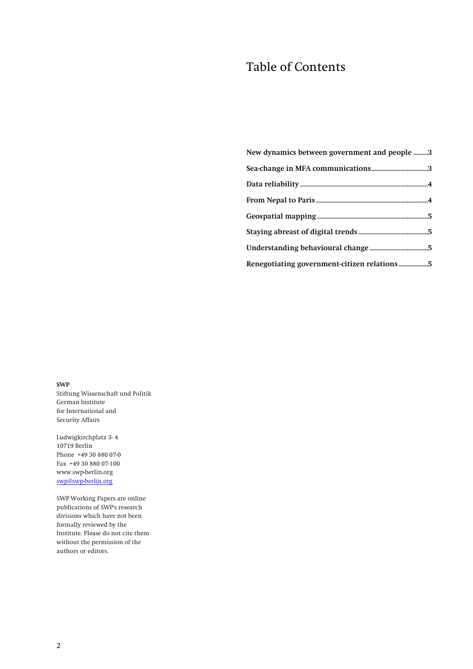# Table of Contents

| New dynamics between government and people 3 |
|----------------------------------------------|
|                                              |
|                                              |
|                                              |
|                                              |
|                                              |
|                                              |
|                                              |

**SWP** Stiftung Wissenschaft und Politik German Institute for International and Security Affairs

Ludwigkirchplatz 3-4 10719 Berlin Phone +49 30 880 07-0 Fax +49 30 880 07-100 www.swp-berlin.org [swp@swp-berlin.org](mailto:swp@swp-berlin.org)

SWP Working Papers are online publications of SWP's research divisions which have not been formally reviewed by the Institute. Please do not cite them without the permission of the authors or editors.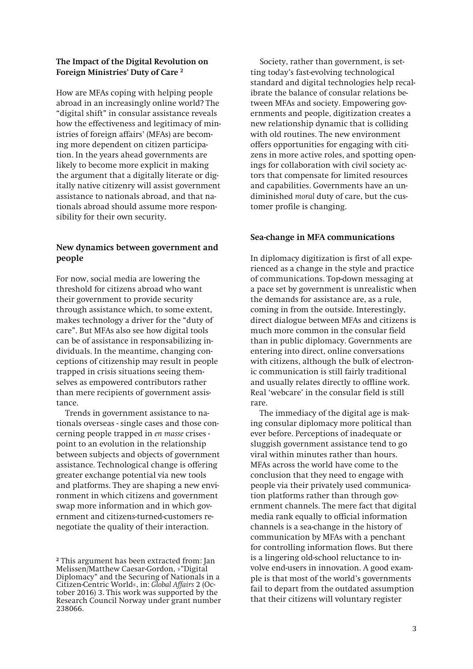#### **The Impact of the Digital Revolution on Foreign Ministries' Duty of Care <sup>2</sup>**

How are MFAs coping with helping people abroad in an increasingly online world? The "digital shift" in consular assistance reveals how the effectiveness and legitimacy of ministries of foreign affairs' (MFAs) are becoming more dependent on citizen participation. In the years ahead governments are likely to become more explicit in making the argument that a digitally literate or digitally native citizenry will assist government assistance to nationals abroad, and that nationals abroad should assume more responsibility for their own security**.** 

#### <span id="page-2-0"></span>**New dynamics between government and people**

For now, social media are lowering the threshold for citizens abroad who want their government to provide security through assistance which, to some extent, makes technology a driver for the "duty of care". But MFAs also see how digital tools can be of assistance in responsabilizing individuals. In the meantime, changing conceptions of citizenship may result in people trapped in crisis situations seeing themselves as empowered contributors rather than mere recipients of government assistance.

Trends in government assistance to nationals overseas - single cases and those concerning people trapped in *en masse* crises point to an evolution in the relationship between subjects and objects of government assistance. Technological change is offering greater exchange potential via new tools and platforms. They are shaping a new environment in which citizens and government swap more information and in which government and citizens-turned-customers renegotiate the quality of their interaction.

Society, rather than government, is setting today's fast-evolving technological standard and digital technologies help recalibrate the balance of consular relations between MFAs and society. Empowering governments and people, digitization creates a new relationship dynamic that is colliding with old routines. The new environment offers opportunities for engaging with citizens in more active roles, and spotting openings for collaboration with civil society actors that compensate for limited resources and capabilities. Governments have an undiminished *moral* duty of care, but the customer profile is changing.

#### <span id="page-2-1"></span>**Sea-change in MFA communications**

In diplomacy digitization is first of all experienced as a change in the style and practice of communications. Top-down messaging at a pace set by government is unrealistic when the demands for assistance are, as a rule, coming in from the outside. Interestingly, direct dialogue between MFAs and citizens is much more common in the consular field than in public diplomacy. Governments are entering into direct, online conversations with citizens, although the bulk of electronic communication is still fairly traditional and usually relates directly to offline work. Real 'webcare' in the consular field is still rare.

The immediacy of the digital age is making consular diplomacy more political than ever before. Perceptions of inadequate or sluggish government assistance tend to go viral within minutes rather than hours. MFAs across the world have come to the conclusion that they need to engage with people via their privately used communication platforms rather than through government channels. The mere fact that digital media rank equally to official information channels is a sea-change in the history of communication by MFAs with a penchant for controlling information flows. But there is a lingering old-school reluctance to involve end-users in innovation. A good example is that most of the world's governments fail to depart from the outdated assumption that their citizens will voluntary register

**<sup>2</sup>** This argument has been extracted from: Jan Melissen/Matthew Caesar-Gordon, »"Digital Diplomacy" and the Securing of Nationals in a Citizen-Centric World«, in: *Global Affairs* 2 (October 2016) 3. This work was supported by the Research Council Norway under grant number 238066.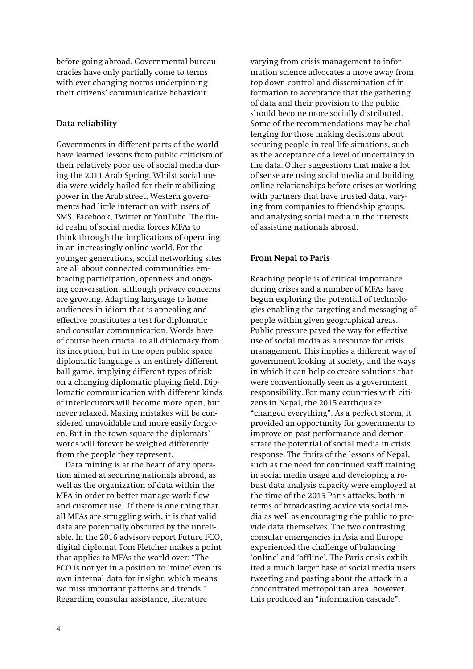before going abroad. Governmental bureaucracies have only partially come to terms with ever-changing norms underpinning their citizens' communicative behaviour.

#### <span id="page-3-0"></span>**Data reliability**

Governments in different parts of the world have learned lessons from public criticism of their relatively poor use of social media during the 2011 Arab Spring. Whilst social media were widely hailed for their mobilizing power in the Arab street, Western governments had little interaction with users of SMS, Facebook, Twitter or YouTube. The fluid realm of social media forces MFAs to think through the implications of operating in an increasingly online world. For the younger generations, social networking sites are all about connected communities embracing participation, openness and ongoing conversation, although privacy concerns are growing. Adapting language to home audiences in idiom that is appealing and effective constitutes a test for diplomatic and consular communication. Words have of course been crucial to all diplomacy from its inception, but in the open public space diplomatic language is an entirely different ball game, implying different types of risk on a changing diplomatic playing field. Diplomatic communication with different kinds of interlocutors will become more open, but never relaxed. Making mistakes will be considered unavoidable and more easily forgiven. But in the town square the diplomats' words will forever be weighed differently from the people they represent.

Data mining is at the heart of any operation aimed at securing nationals abroad, as well as the organization of data within the MFA in order to better manage work flow and customer use. If there is one thing that all MFAs are struggling with, it is that valid data are potentially obscured by the unreliable. In the 2016 advisory report Future FCO, digital diplomat Tom Fletcher makes a point that applies to MFAs the world over: "The FCO is not yet in a position to 'mine' even its own internal data for insight, which means we miss important patterns and trends." Regarding consular assistance, literature

varying from crisis management to information science advocates a move away from top-down control and dissemination of information to acceptance that the gathering of data and their provision to the public should become more socially distributed. Some of the recommendations may be challenging for those making decisions about securing people in real-life situations, such as the acceptance of a level of uncertainty in the data. Other suggestions that make a lot of sense are using social media and building online relationships before crises or working with partners that have trusted data, varying from companies to friendship groups, and analysing social media in the interests of assisting nationals abroad.

## <span id="page-3-1"></span>**From Nepal to Paris**

Reaching people is of critical importance during crises and a number of MFAs have begun exploring the potential of technologies enabling the targeting and messaging of people within given geographical areas. Public pressure paved the way for effective use of social media as a resource for crisis management. This implies a different way of government looking at society, and the ways in which it can help co-create solutions that were conventionally seen as a government responsibility. For many countries with citizens in Nepal, the 2015 earthquake "changed everything". As a perfect storm, it provided an opportunity for governments to improve on past performance and demonstrate the potential of social media in crisis response. The fruits of the lessons of Nepal, such as the need for continued staff training in social media usage and developing a robust data analysis capacity were employed at the time of the 2015 Paris attacks, both in terms of broadcasting advice via social media as well as encouraging the public to provide data themselves. The two contrasting consular emergencies in Asia and Europe experienced the challenge of balancing 'online' and 'offline'. The Paris crisis exhibited a much larger base of social media users tweeting and posting about the attack in a concentrated metropolitan area, however this produced an "information cascade",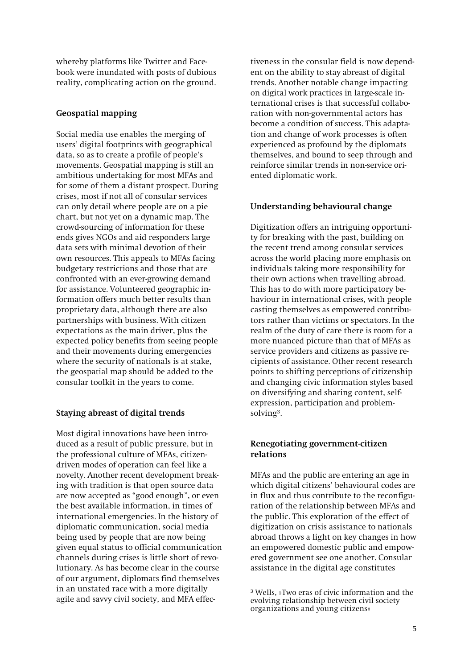whereby platforms like Twitter and Facebook were inundated with posts of dubious reality, complicating action on the ground.

## <span id="page-4-0"></span>**Geospatial mapping**

Social media use enables the merging of users' digital footprints with geographical data, so as to create a profile of people's movements. Geospatial mapping is still an ambitious undertaking for most MFAs and for some of them a distant prospect. During crises, most if not all of consular services can only detail where people are on a pie chart, but not yet on a dynamic map. The crowd-sourcing of information for these ends gives NGOs and aid responders large data sets with minimal devotion of their own resources. This appeals to MFAs facing budgetary restrictions and those that are confronted with an ever-growing demand for assistance. Volunteered geographic information offers much better results than proprietary data, although there are also partnerships with business. With citizen expectations as the main driver, plus the expected policy benefits from seeing people and their movements during emergencies where the security of nationals is at stake, the geospatial map should be added to the consular toolkit in the years to come.

## <span id="page-4-1"></span>**Staying abreast of digital trends**

Most digital innovations have been introduced as a result of public pressure, but in the professional culture of MFAs, citizendriven modes of operation can feel like a novelty. Another recent development breaking with tradition is that open source data are now accepted as "good enough", or even the best available information, in times of international emergencies. In the history of diplomatic communication, social media being used by people that are now being given equal status to official communication channels during crises is little short of revolutionary. As has become clear in the course of our argument, diplomats find themselves in an unstated race with a more digitally agile and savvy civil society, and MFA effectiveness in the consular field is now dependent on the ability to stay abreast of digital trends. Another notable change impacting on digital work practices in large-scale international crises is that successful collaboration with non-governmental actors has become a condition of success. This adaptation and change of work processes is often experienced as profound by the diplomats themselves, and bound to seep through and reinforce similar trends in non-service oriented diplomatic work.

## <span id="page-4-2"></span>**Understanding behavioural change**

Digitization offers an intriguing opportunity for breaking with the past, building on the recent trend among consular services across the world placing more emphasis on individuals taking more responsibility for their own actions when travelling abroad. This has to do with more participatory behaviour in international crises, with people casting themselves as empowered contributors rather than victims or spectators. In the realm of the duty of care there is room for a more nuanced picture than that of MFAs as service providers and citizens as passive recipients of assistance. Other recent research points to shifting perceptions of citizenship and changing civic information styles based on diversifying and sharing content, selfexpression, participation and problemsolving<sup>3</sup> .

## <span id="page-4-3"></span>**Renegotiating government-citizen relations**

MFAs and the public are entering an age in which digital citizens' behavioural codes are in flux and thus contribute to the reconfiguration of the relationship between MFAs and the public. This exploration of the effect of digitization on crisis assistance to nationals abroad throws a light on key changes in how an empowered domestic public and empowered government see one another. Consular assistance in the digital age constitutes

<sup>3</sup> Wells, »Two eras of civic information and the evolving relationship between civil society organizations and young citizens«